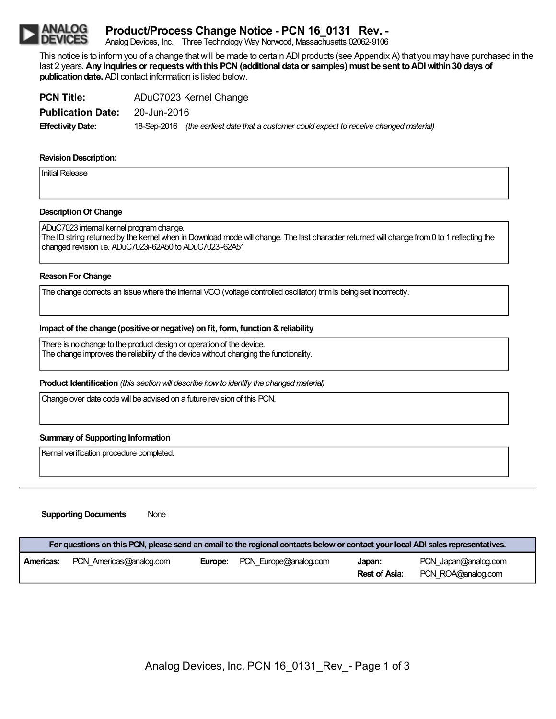# **Product/Process Change Notice - PCN 16\_0131 Rev. -**

Analog Devices, Inc. Three Technology Way Norwood, Massachusetts 02062-9106

This notice is to informyou of a change thatwill be made to certain ADI products (see Appendix A) that you may have purchased in the last 2 years.**Any inquiries or requestswiththis PCN(additional data or samples) must be sent toADIwithin30 days of publication date.** ADI contact information is listed below.

| <b>PCN Title:</b>        | ADuC7023 Kernel Change |                                                                                          |  |
|--------------------------|------------------------|------------------------------------------------------------------------------------------|--|
| <b>Publication Date:</b> | 20-Jun-2016            |                                                                                          |  |
| <b>Effectivity Date:</b> |                        | 18-Sep-2016 (the earliest date that a customer could expect to receive changed material) |  |

# **Revision Description:**

Initial Release

# **Description Of Change**

ADuC7023 internal kernel programchange. The ID string returned by the kernel when in Download mode will change. The last character returned will change from 0 to 1 reflecting the changed revision i.e. ADuC7023i-62A50 to ADuC7023i-62A51

### **Reason For Change**

The change corrects an issuewhere the internal VCO(voltage controlled oscillator) trimis being set incorrectly.

## **Impact of the change (positive or negative) on fit, form, function &reliability**

There is no change to the product design or operation of the device. The change improves the reliability of the device without changing the functionality.

**Product Identification** *(this section will describe how to identify the changed material)* 

Change over date codewill be advised on a future revision of this PCN.

#### **Summary of Supporting Information**

Kernel verification procedure completed.

#### **Supporting Documents** None

| For questions on this PCN, please send an email to the regional contacts below or contact your local ADI sales representatives. |                         |         |                       |                         |                                            |
|---------------------------------------------------------------------------------------------------------------------------------|-------------------------|---------|-----------------------|-------------------------|--------------------------------------------|
| Americas:                                                                                                                       | PCN Americas@analog.com | Europe: | PCN Europe@analog.com | Japan:<br>Rest of Asia: | PCN Japan@analog.com<br>PCN ROA@analog.com |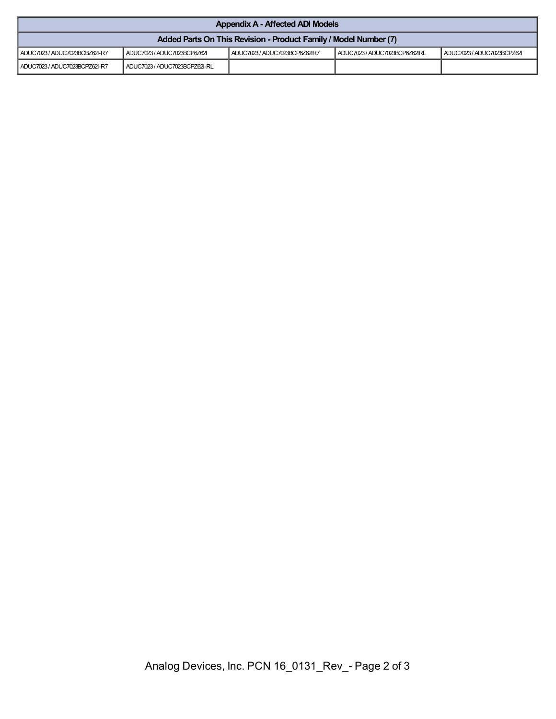| <b>Appendix A - Affected ADI Models</b>                          |                               |                               |                               |                            |  |
|------------------------------------------------------------------|-------------------------------|-------------------------------|-------------------------------|----------------------------|--|
| Added Parts On This Revision - Product Family / Model Number (7) |                               |                               |                               |                            |  |
| ADUC7023 / ADUC7023BCBZ62I-R7                                    | ADUC7023 / ADUC7023BCP6Z62    | ADUC7023 / ADUC7023BCP6Z62IR7 | ADUC7023 / ADUC7023BCP6Z62IRL | ADUC7023 / ADUC7023BCPZ62I |  |
| ADUC7023 / ADUC7023BCPZ62I-R7                                    | ADUC7023 / ADUC7023BCPZ62I-RL |                               |                               |                            |  |